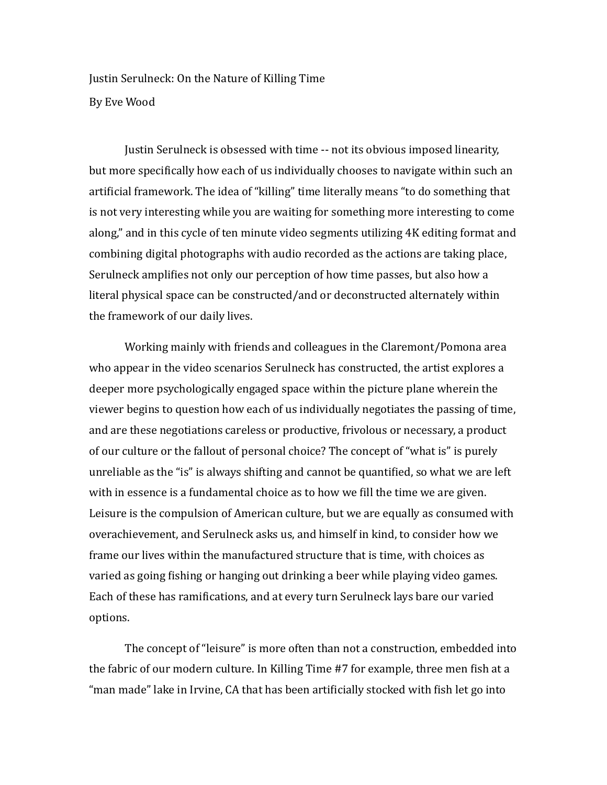Justin Serulneck: On the Nature of Killing Time By Eve Wood

Justin Serulneck is obsessed with time -- not its obvious imposed linearity, but more specifically how each of us individually chooses to navigate within such an artificial framework. The idea of "killing" time literally means "to do something that is not very interesting while you are waiting for something more interesting to come along," and in this cycle of ten minute video segments utilizing 4K editing format and combining digital photographs with audio recorded as the actions are taking place, Serulneck amplifies not only our perception of how time passes, but also how a literal physical space can be constructed/and or deconstructed alternately within the framework of our daily lives.

Working mainly with friends and colleagues in the Claremont/Pomona area who appear in the video scenarios Serulneck has constructed, the artist explores a deeper more psychologically engaged space within the picture plane wherein the viewer begins to question how each of us individually negotiates the passing of time, and are these negotiations careless or productive, frivolous or necessary, a product of our culture or the fallout of personal choice? The concept of "what is" is purely unreliable as the "is" is always shifting and cannot be quantified, so what we are left with in essence is a fundamental choice as to how we fill the time we are given. Leisure is the compulsion of American culture, but we are equally as consumed with overachievement, and Serulneck asks us, and himself in kind, to consider how we frame our lives within the manufactured structure that is time, with choices as varied as going fishing or hanging out drinking a beer while playing video games. Each of these has ramifications, and at every turn Serulneck lays bare our varied options. 

The concept of "leisure" is more often than not a construction, embedded into the fabric of our modern culture. In Killing Time #7 for example, three men fish at a "man made" lake in Irvine, CA that has been artificially stocked with fish let go into